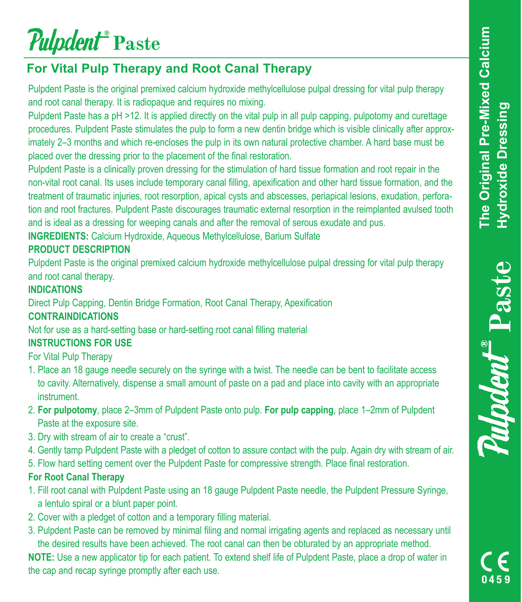# *Pulpdent*<sup><sup>*\*</sup>*</sup> Paste</sup>

# **For Vital Pulp Therapy and Root Canal Therapy**

Pulpdent Paste is the original premixed calcium hydroxide methylcellulose pulpal dressing for vital pulp therapy and root canal therapy. It is radiopaque and requires no mixing.

Pulpdent Paste has a pH >12. It is applied directly on the vital pulp in all pulp capping, pulpotomy and curettage procedures. Pulpdent Paste stimulates the pulp to form a new dentin bridge which is visible clinically after approximately 2–3 months and which re-encloses the pulp in its own natural protective chamber. A hard base must be placed over the dressing prior to the placement of the final restoration.

Pulpdent Paste is a clinically proven dressing for the stimulation of hard tissue formation and root repair in the non-vital root canal. Its uses include temporary canal filling, apexification and other hard tissue formation, and the treatment of traumatic injuries, root resorption, apical cysts and abscesses, periapical lesions, exudation, perforation and root fractures. Pulpdent Paste discourages traumatic external resorption in the reimplanted avulsed tooth and is ideal as a dressing for weeping canals and after the removal of serous exudate and pus.

**INGREDIENTS:** Calcium Hydroxide, Aqueous Methylcellulose, Barium Sulfate

#### **PRODUCT DESCRIPTION**

Pulpdent Paste is the original premixed calcium hydroxide methylcellulose pulpal dressing for vital pulp therapy and root canal therapy.

#### **INDICATIONS**

Direct Pulp Capping, Dentin Bridge Formation, Root Canal Therapy, Apexification

#### **CONTRAINDICATIONS**

Not for use as a hard-setting base or hard-setting root canal filling material

#### **INSTRUCTIONS FOR USE**

For Vital Pulp Therapy

- 1. Place an 18 gauge needle securely on the syringe with a twist. The needle can be bent to facilitate access to cavity. Alternatively, dispense a small amount of paste on a pad and place into cavity with an appropriate **instrument**
- 2. **For pulpotomy**, place 2–3mm of Pulpdent Paste onto pulp. **For pulp capping**, place 1–2mm of Pulpdent Paste at the exposure site.
- 3. Dry with stream of air to create a "crust".
- 4. Gently tamp Pulpdent Paste with a pledget of cotton to assure contact with the pulp. Again dry with stream of air.
- 5. Flow hard setting cement over the Pulpdent Paste for compressive strength. Place final restoration.

#### **For Root Canal Therapy**

- 1. Fill root canal with Pulpdent Paste using an 18 gauge Pulpdent Paste needle, the Pulpdent Pressure Syringe, a lentulo spiral or a blunt paper point.
- 2. Cover with a pledget of cotton and a temporary filling material.
- 3. Pulpdent Paste can be removed by minimal filing and normal irrigating agents and replaced as necessary until the desired results have been achieved. The root canal can then be obturated by an appropriate method.

**NOTE:** Use a new applicator tip for each patient. To extend shelf life of Pulpdent Paste, place a drop of water in the cap and recap syringe promptly after each use.

**ulpdent** Paste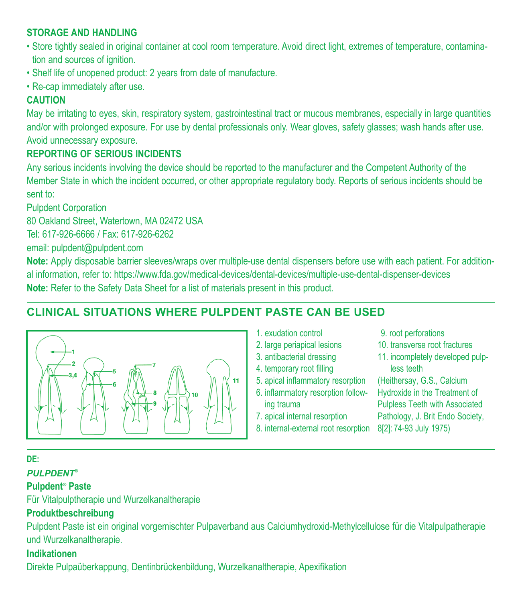#### **STORAGE AND HANDLING**

- Store tightly sealed in original container at cool room temperature. Avoid direct light, extremes of temperature, contamination and sources of ignition.
- Shelf life of unopened product: 2 years from date of manufacture.
- Re-cap immediately after use.

#### **CAUTION**

May be irritating to eyes, skin, respiratory system, gastrointestinal tract or mucous membranes, especially in large quantities and/or with prolonged exposure. For use by dental professionals only. Wear gloves, safety glasses; wash hands after use. Avoid unnecessary exposure.

#### **REPORTING OF SERIOUS INCIDENTS**

Any serious incidents involving the device should be reported to the manufacturer and the Competent Authority of the Member State in which the incident occurred, or other appropriate regulatory body. Reports of serious incidents should be sent to:

Pulpdent Corporation

80 Oakland Street, Watertown, MA 02472 USA

Tel: 617-926-6666 / Fax: 617-926-6262

email: pulpdent@pulpdent.com

**Note:** Apply disposable barrier sleeves/wraps over multiple-use dental dispensers before use with each patient. For additional information, refer to: https://www.fda.gov/medical-devices/dental-devices/multiple-use-dental-dispenser-devices **Note:** Refer to the Safety Data Sheet for a list of materials present in this product.

# **CLINICAL SITUATIONS WHERE PULPDENT PASTE CAN BE USED**



- 1. exudation control
- 2. large periapical lesions
- 3. antibacterial dressing
- 4. temporary root filling
- 5. apical inflammatory resorption
- 6. inflammatory resorption follow-
- ing trauma
- 7. apical internal resorption
- 8. internal-external root resorption 8[2]: 74-93 July 1975)
- 9. root perforations
- 10. transverse root fractures
- 11. incompletely developed pulpless teeth

(Heithersay, G.S., Calcium Hydroxide in the Treatment of Pulpless Teeth with Associated Pathology, J. Brit Endo Society,

#### **DE:**

#### *PULPDENT®* **Pulpdent***®*  **Paste**

Für Vitalpulptherapie und Wurzelkanaltherapie

#### **Produktbeschreibung**

Pulpdent Paste ist ein original vorgemischter Pulpaverband aus Calciumhydroxid-Methylcellulose für die Vitalpulpatherapie und Wurzelkanaltherapie.

#### **Indikationen**

Direkte Pulpaüberkappung, Dentinbrückenbildung, Wurzelkanaltherapie, Apexifikation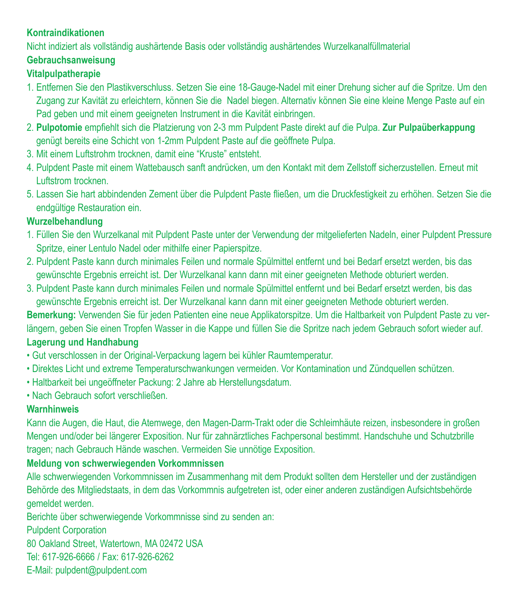#### **Kontraindikationen**

Nicht indiziert als vollständig aushärtende Basis oder vollständig aushärtendes Wurzelkanalfüllmaterial

# **Gebrauchsanweisung**

#### **Vitalpulpatherapie**

- 1. Entfernen Sie den Plastikverschluss. Setzen Sie eine 18-Gauge-Nadel mit einer Drehung sicher auf die Spritze. Um den Zugang zur Kavität zu erleichtern, können Sie die Nadel biegen. Alternativ können Sie eine kleine Menge Paste auf ein Pad geben und mit einem geeigneten Instrument in die Kavität einbringen.
- 2. **Pulpotomie** empfiehlt sich die Platzierung von 2-3 mm Pulpdent Paste direkt auf die Pulpa. **Zur Pulpaüberkappung** genügt bereits eine Schicht von 1-2mm Pulpdent Paste auf die geöffnete Pulpa.
- 3. Mit einem Luftstrohm trocknen, damit eine "Kruste" entsteht.
- 4. Pulpdent Paste mit einem Wattebausch sanft andrücken, um den Kontakt mit dem Zellstoff sicherzustellen. Erneut mit Luftstrom trocknen.
- 5. Lassen Sie hart abbindenden Zement über die Pulpdent Paste fließen, um die Druckfestigkeit zu erhöhen. Setzen Sie die endgültige Restauration ein.

#### **Wurzelbehandlung**

- 1. Füllen Sie den Wurzelkanal mit Pulpdent Paste unter der Verwendung der mitgelieferten Nadeln, einer Pulpdent Pressure Spritze, einer Lentulo Nadel oder mithilfe einer Papierspitze.
- 2. Pulpdent Paste kann durch minimales Feilen und normale Spülmittel entfernt und bei Bedarf ersetzt werden, bis das gewünschte Ergebnis erreicht ist. Der Wurzelkanal kann dann mit einer geeigneten Methode obturiert werden.
- 3. Pulpdent Paste kann durch minimales Feilen und normale Spülmittel entfernt und bei Bedarf ersetzt werden, bis das gewünschte Ergebnis erreicht ist. Der Wurzelkanal kann dann mit einer geeigneten Methode obturiert werden.

**Bemerkung:** Verwenden Sie für jeden Patienten eine neue Applikatorspitze. Um die Haltbarkeit von Pulpdent Paste zu verlängern, geben Sie einen Tropfen Wasser in die Kappe und füllen Sie die Spritze nach jedem Gebrauch sofort wieder auf. **Lagerung und Handhabung**

- Gut verschlossen in der Original-Verpackung lagern bei kühler Raumtemperatur.
- Direktes Licht und extreme Temperaturschwankungen vermeiden. Vor Kontamination und Zündquellen schützen.
- Haltbarkeit bei ungeöffneter Packung: 2 Jahre ab Herstellungsdatum.
- Nach Gebrauch sofort verschließen.

#### **Warnhinweis**

Kann die Augen, die Haut, die Atemwege, den Magen-Darm-Trakt oder die Schleimhäute reizen, insbesondere in großen Mengen und/oder bei längerer Exposition. Nur für zahnärztliches Fachpersonal bestimmt. Handschuhe und Schutzbrille tragen; nach Gebrauch Hände waschen. Vermeiden Sie unnötige Exposition.

#### **Meldung von schwerwiegenden Vorkommnissen**

Alle schwerwiegenden Vorkommnissen im Zusammenhang mit dem Produkt sollten dem Hersteller und der zuständigen Behörde des Mitgliedstaats, in dem das Vorkommnis aufgetreten ist, oder einer anderen zuständigen Aufsichtsbehörde gemeldet werden.

Berichte über schwerwiegende Vorkommnisse sind zu senden an:

Pulpdent Corporation

80 Oakland Street, Watertown, MA 02472 USA

Tel: 617-926-6666 / Fax: 617-926-6262

E-Mail: pulpdent@pulpdent.com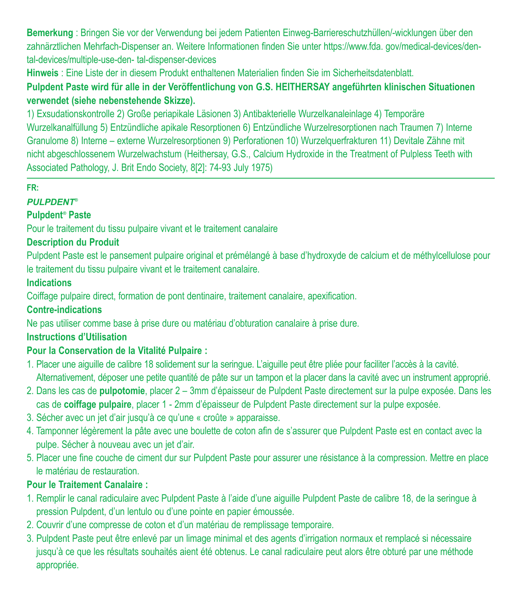**Bemerkung** : Bringen Sie vor der Verwendung bei jedem Patienten Einweg-Barriereschutzhüllen/-wicklungen über den zahnärztlichen Mehrfach-Dispenser an. Weitere Informationen finden Sie unter https://www.fda. gov/medical-devices/dental-devices/multiple-use-den- tal-dispenser-devices

**Hinweis** : Eine Liste der in diesem Produkt enthaltenen Materialien finden Sie im Sicherheitsdatenblatt.

**Pulpdent Paste wird für alle in der Veröffentlichung von G.S. HEITHERSAY angeführten klinischen Situationen verwendet (siehe nebenstehende Skizze).**

1) Exsudationskontrolle 2) Große periapikale Läsionen 3) Antibakterielle Wurzelkanaleinlage 4) Temporäre Wurzelkanalfüllung 5) Entzündliche apikale Resorptionen 6) Entzündliche Wurzelresorptionen nach Traumen 7) Interne Granulome 8) Interne – externe Wurzelresorptionen 9) Perforationen 10) Wurzelquerfrakturen 11) Devitale Zähne mit nicht abgeschlossenem Wurzelwachstum (Heithersay, G.S., Calcium Hydroxide in the Treatment of Pulpless Teeth with Associated Pathology, J. Brit Endo Society, 8[2]: 74-93 July 1975)

#### **FR:**

#### *PULPDENT®*

#### **Pulpdent***®*  **Paste**

Pour le traitement du tissu pulpaire vivant et le traitement canalaire

#### **Description du Produit**

Pulpdent Paste est le pansement pulpaire original et prémélangé à base d'hydroxyde de calcium et de méthylcellulose pour le traitement du tissu pulpaire vivant et le traitement canalaire.

#### **Indications**

Coiffage pulpaire direct, formation de pont dentinaire, traitement canalaire, apexification.

#### **Contre-indications**

Ne pas utiliser comme base à prise dure ou matériau d'obturation canalaire à prise dure.

#### **Instructions d'Utilisation**

### **Pour la Conservation de la Vitalité Pulpaire :**

- 1. Placer une aiguille de calibre 18 solidement sur la seringue. L'aiguille peut être pliée pour faciliter l'accès à la cavité. Alternativement, déposer une petite quantité de pâte sur un tampon et la placer dans la cavité avec un instrument approprié.
- 2. Dans les cas de **pulpotomie**, placer 2 3mm d'épaisseur de Pulpdent Paste directement sur la pulpe exposée. Dans les cas de **coiffage pulpaire**, placer 1 - 2mm d'épaisseur de Pulpdent Paste directement sur la pulpe exposée.
- 3. Sécher avec un jet d'air jusqu'à ce qu'une « croûte » apparaisse.
- 4. Tamponner légèrement la pâte avec une boulette de coton afin de s'assurer que Pulpdent Paste est en contact avec la pulpe. Sécher à nouveau avec un jet d'air.
- 5. Placer une fine couche de ciment dur sur Pulpdent Paste pour assurer une résistance à la compression. Mettre en place le matériau de restauration.

#### **Pour le Traitement Canalaire :**

- 1. Remplir le canal radiculaire avec Pulpdent Paste à l'aide d'une aiguille Pulpdent Paste de calibre 18, de la seringue à pression Pulpdent, d'un lentulo ou d'une pointe en papier émoussée.
- 2. Couvrir d'une compresse de coton et d'un matériau de remplissage temporaire.
- 3. Pulpdent Paste peut être enlevé par un limage minimal et des agents d'irrigation normaux et remplacé si nécessaire jusqu'à ce que les résultats souhaités aient été obtenus. Le canal radiculaire peut alors être obturé par une méthode appropriée.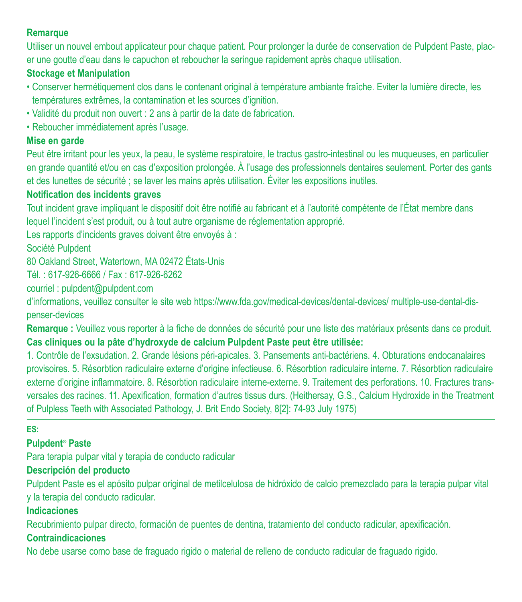#### **Remarque**

Utiliser un nouvel embout applicateur pour chaque patient. Pour prolonger la durée de conservation de Pulpdent Paste, placer une goutte d'eau dans le capuchon et reboucher la seringue rapidement après chaque utilisation.

#### **Stockage et Manipulation**

- Conserver hermétiquement clos dans le contenant original à température ambiante fraîche. Eviter la lumière directe, les températures extrêmes, la contamination et les sources d'ignition.
- Validité du produit non ouvert : 2 ans à partir de la date de fabrication.
- Reboucher immédiatement après l'usage.

#### **Mise en garde**

Peut être irritant pour les yeux, la peau, le système respiratoire, le tractus gastro-intestinal ou les muqueuses, en particulier en grande quantité et/ou en cas d'exposition prolongée. À l'usage des professionnels dentaires seulement. Porter des gants et des lunettes de sécurité ; se laver les mains après utilisation. Éviter les expositions inutiles.

#### **Notification des incidents graves**

Tout incident grave impliquant le dispositif doit être notifié au fabricant et à l'autorité compétente de l'État membre dans lequel l'incident s'est produit, ou à tout autre organisme de réglementation approprié.

Les rapports d'incidents graves doivent être envoyés à :

Société Pulpdent

80 Oakland Street, Watertown, MA 02472 États-Unis

Tél. : 617-926-6666 / Fax : 617-926-6262

courriel : pulpdent@pulpdent.com

d'informations, veuillez consulter le site web https://www.fda.gov/medical-devices/dental-devices/ multiple-use-dental-dispenser-devices

**Remarque :** Veuillez vous reporter à la fiche de données de sécurité pour une liste des matériaux présents dans ce produit. **Cas cliniques ou la pâte d'hydroxyde de calcium Pulpdent Paste peut être utilisée:**

1. Contrôle de l'exsudation. 2. Grande lésions péri-apicales. 3. Pansements anti-bactériens. 4. Obturations endocanalaires provisoires. 5. Résorbtion radiculaire externe d'origine infectieuse. 6. Résorbtion radiculaire interne. 7. Résorbtion radiculaire externe d'origine inflammatoire. 8. Résorbtion radiculaire interne-externe. 9. Traitement des perforations. 10. Fractures transversales des racines. 11. Apexification, formation d'autres tissus durs. (Heithersay, G.S., Calcium Hydroxide in the Treatment of Pulpless Teeth with Associated Pathology, J. Brit Endo Society, 8[2]: 74-93 July 1975)

#### **ES:**

#### **Pulpdent***®*  **Paste**

Para terapia pulpar vital y terapia de conducto radicular

#### **Descripción del producto**

Pulpdent Paste es el apósito pulpar original de metilcelulosa de hidróxido de calcio premezclado para la terapia pulpar vital y la terapia del conducto radicular.

#### **Indicaciones**

Recubrimiento pulpar directo, formación de puentes de dentina, tratamiento del conducto radicular, apexificación.

## **Contraindicaciones**

No debe usarse como base de fraguado rigido o material de relleno de conducto radicular de fraguado rigido.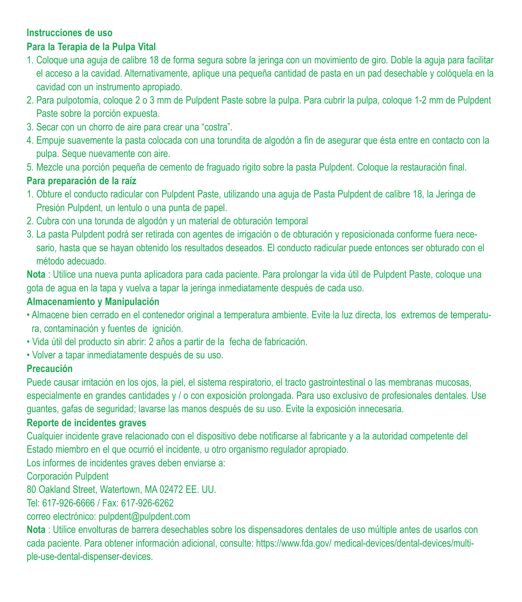#### **Instrucciones de uso**

#### **Para la Terapia de la Pulpa Vital**

- 1. Coloque una aguja de calibre 18 de forma segura sobre la jeringa con un movimiento de giro. Doble la aguja para facilitar el acceso a la cavidad. Alternativamente, aplique una pequeña cantidad de pasta en un pad desechable y colóquela en la cavidad con un instrumento apropiado.
- 2. Para pulpotomía, coloque 2 o 3 mm de Pulpdent Paste sobre la pulpa. Para cubrir la pulpa, coloque 1-2 mm de Pulpdent Paste sobre la porción expuesta.
- 3. Secar con un chorro de aire para crear una "costra".
- 4. Empuje suavemente la pasta colocada con una torundita de algodón a fin de asegurar que ésta entre en contacto con la pulpa. Seque nuevamente con aire.
- 5. Mezcle una porción pequeña de cemento de fraguado rigito sobre la pasta Pulpdent. Coloque la restauración final.

#### **Para preparación de la raíz**

- 1. Obture el conducto radicular con Pulpdent Paste, utilizando una aguja de Pasta Pulpdent de calibre 18, la Jeringa de Presión Pulpdent, un lentulo o una punta de papel.
- 2. Cubra con una torunda de algodón y un material de obturación temporal
- 3. La pasta Pulpdent podrá ser retirada con agentes de irrigación o de obturación y reposicionada conforme fuera necesario, hasta que se hayan obtenido los resultados deseados. El conducto radicular puede entonces ser obturado con el método adecuado.

**Nota** : Utilice una nueva punta aplicadora para cada paciente. Para prolongar la vida útil de Pulpdent Paste, coloque una gota de agua en la tapa y vuelva a tapar la jeringa inmediatamente después de cada uso.

#### **Almacenamiento y Manipulación**

- Almacene bien cerrado en el contenedor original a temperatura ambiente. Evite la luz directa, los extremos de temperatura, contaminación y fuentes de ignición.
- Vida útil del producto sin abrir: 2 años a partir de la fecha de fabricación.
- Volver a tapar inmediatamente después de su uso.

#### **Precaución**

Puede causar irritación en los ojos, la piel, el sistema respiratorio, el tracto gastrointestinal o las membranas mucosas, especialmente en grandes cantidades y / o con exposición prolongada. Para uso exclusivo de profesionales dentales. Use guantes, gafas de seguridad; lavarse las manos después de su uso. Evite la exposición innecesaria.

#### **Reporte de incidentes graves**

Cualquier incidente grave relacionado con el dispositivo debe notificarse al fabricante y a la autoridad competente del Estado miembro en el que ocurrió el incidente, u otro organismo regulador apropiado.

Los informes de incidentes graves deben enviarse a:

Corporación Pulpdent

80 Oakland Street, Watertown, MA 02472 EE. UU.

Tel: 617-926-6666 / Fax: 617-926-6262

correo electrónico: pulpdent@pulpdent.com

**Nota** : Utilice envolturas de barrera desechables sobre los dispensadores dentales de uso múltiple antes de usarlos con cada paciente. Para obtener información adicional, consulte: https://www.fda.gov/ medical-devices/dental-devices/multiple-use-dental-dispenser-devices.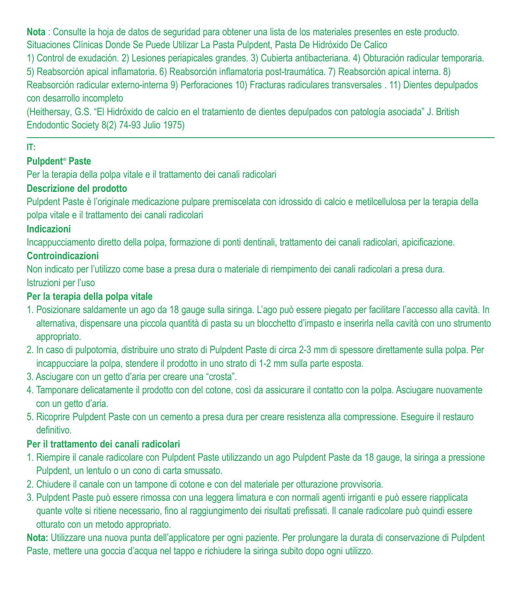**Nota** : Consulte la hoja de datos de seguridad para obtener una lista de los materiales presentes en este producto. Situaciones Clínicas Donde Se Puede Utilizar La Pasta Pulpdent, Pasta De Hidróxido De Calico

1) Control de exudación. 2) Lesiones periapicales grandes. 3) Cubierta antibacteriana. 4) Obturación radicular temporaria.

5) Reabsorción apical inflamatoria. 6) Reabsorción inflamatoria post-traumática. 7) Reabsorción apical interna. 8) Reabsorción radicular externo-interna 9) Perforaciones 10) Fracturas radiculares transversales . 11) Dientes depulpados

#### con desarrollo incompleto

(Heithersay, G.S. "El Hidróxido de calcio en el tratamiento de dientes depulpados con patología asociada" J. British Endodontic Society 8(2) 74-93 Julio 1975)

#### **IT:**

#### **Pulpdent***®*  **Paste**

Per la terapia della polpa vitale e il trattamento dei canali radicolari

#### **Descrizione del prodotto**

Pulpdent Paste è l'originale medicazione pulpare premiscelata con idrossido di calcio e metilcellulosa per la terapia della polpa vitale e il trattamento dei canali radicolari

#### **Indicazioni**

Incappucciamento diretto della polpa, formazione di ponti dentinali, trattamento dei canali radicolari, apicificazione.

#### **Controindicazioni**

Non indicato per l'utilizzo come base a presa dura o materiale di riempimento dei canali radicolari a presa dura. Istruzioni per l'uso

#### **Per la terapia della polpa vitale**

- 1. Posizionare saldamente un ago da 18 gauge sulla siringa. L'ago può essere piegato per facilitare l'accesso alla cavità. In alternativa, dispensare una piccola quantità di pasta su un blocchetto d'impasto e inserirla nella cavità con uno strumento appropriato.
- 2. In caso di pulpotomia, distribuire uno strato di Pulpdent Paste di circa 2-3 mm di spessore direttamente sulla polpa. Per incappucciare la polpa, stendere il prodotto in uno strato di 1-2 mm sulla parte esposta.
- 3. Asciugare con un getto d'aria per creare una "crosta".
- 4. Tamponare delicatamente il prodotto con del cotone, così da assicurare il contatto con la polpa. Asciugare nuovamente con un getto d'aria.
- 5. Ricoprire Pulpdent Paste con un cemento a presa dura per creare resistenza alla compressione. Eseguire il restauro definitivo.

#### **Per il trattamento dei canali radicolari**

- 1. Riempire il canale radicolare con Pulpdent Paste utilizzando un ago Pulpdent Paste da 18 gauge, la siringa a pressione Pulpdent, un lentulo o un cono di carta smussato.
- 2. Chiudere il canale con un tampone di cotone e con del materiale per otturazione provvisoria.
- 3. Pulpdent Paste può essere rimossa con una leggera limatura e con normali agenti irriganti e può essere riapplicata quante volte si ritiene necessario, fino al raggiungimento dei risultati prefissati. Il canale radicolare può quindi essere otturato con un metodo appropriato.

**Nota:** Utilizzare una nuova punta dell'applicatore per ogni paziente. Per prolungare la durata di conservazione di Pulpdent Paste, mettere una goccia d'acqua nel tappo e richiudere la siringa subito dopo ogni utilizzo.